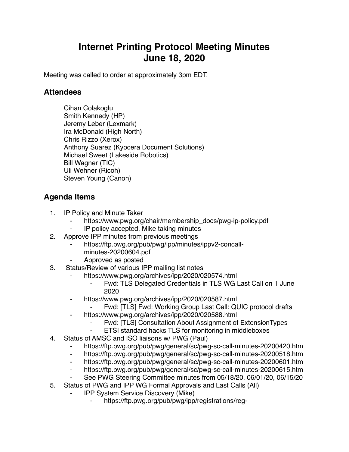## **Internet Printing Protocol Meeting Minutes June 18, 2020**

Meeting was called to order at approximately 3pm EDT.

## **Attendees**

Cihan Colakoglu Smith Kennedy (HP) Jeremy Leber (Lexmark) Ira McDonald (High North) Chris Rizzo (Xerox) Anthony Suarez (Kyocera Document Solutions) Michael Sweet (Lakeside Robotics) Bill Wagner (TIC) Uli Wehner (Ricoh) Steven Young (Canon)

## **Agenda Items**

- 1. IP Policy and Minute Taker
	- https://www.pwg.org/chair/membership\_docs/pwg-ip-policy.pdf
	- IP policy accepted, Mike taking minutes
- 2. Approve IPP minutes from previous meetings
	- https://ftp.pwg.org/pub/pwg/ipp/minutes/ippv2-concallminutes-20200604.pdf
	- ⁃ Approved as posted
- 3. Status/Review of various IPP mailing list notes
	- ⁃ https://www.pwg.org/archives/ipp/2020/020574.html
		- Fwd: TLS Delegated Credentials in TLS WG Last Call on 1 June 2020
	- ⁃ https://www.pwg.org/archives/ipp/2020/020587.html
		- Fwd: [TLS] Fwd: Working Group Last Call: QUIC protocol drafts
	- https://www.pwg.org/archives/ipp/2020/020588.html
		- Fwd: [TLS] Consultation About Assignment of ExtensionTypes
		- ⁃ ETSI standard hacks TLS for monitoring in middleboxes
- 4. Status of AMSC and ISO liaisons w/ PWG (Paul)
	- https://ftp.pwg.org/pub/pwg/general/sc/pwg-sc-call-minutes-20200420.htm
	- ⁃ https://ftp.pwg.org/pub/pwg/general/sc/pwg-sc-call-minutes-20200518.htm
	- ⁃ https://ftp.pwg.org/pub/pwg/general/sc/pwg-sc-call-minutes-20200601.htm
	- ⁃ https://ftp.pwg.org/pub/pwg/general/sc/pwg-sc-call-minutes-20200615.htm
	- See PWG Steering Committee minutes from 05/18/20, 06/01/20, 06/15/20
- 5. Status of PWG and IPP WG Formal Approvals and Last Calls (All)
	- ⁃ IPP System Service Discovery (Mike)
		- https://ftp.pwg.org/pub/pwg/ipp/registrations/reg-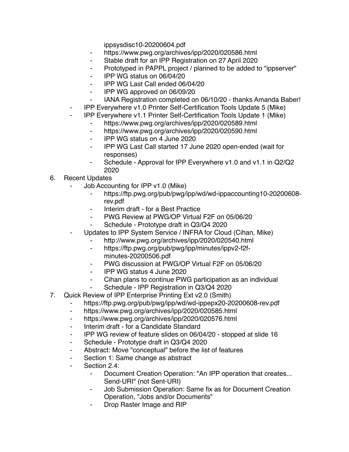ippsysdisc10-20200604.pdf

- ⁃ https://www.pwg.org/archives/ipp/2020/020586.html
- ⁃ Stable draft for an IPP Registration on 27 April 2020
- ⁃ Prototyped in PAPPL project / planned to be added to "ippserver"
- ⁃ IPP WG status on 06/04/20
- ⁃ IPP WG Last Call ended 06/04/20
- ⁃ IPP WG approved on 06/09/20
- ⁃ IANA Registration completed on 06/10/20 thanks Amanda Baber!
- ⁃ IPP Everywhere v1.0 Printer Self-Certification Tools Update 5 (Mike)
- ⁃ IPP Everywhere v1.1 Printer Self-Certification Tools Update 1 (Mike)
	- ⁃ https://www.pwg.org/archives/ipp/2020/020589.html
	- ⁃ https://www.pwg.org/archives/ipp/2020/020590.html
	- ⁃ IPP WG status on 4 June 2020
	- ⁃ IPP WG Last Call started 17 June 2020 open-ended (wait for responses)
	- Schedule Approval for IPP Everywhere v1.0 and v1.1 in Q2/Q2 2020
- 6. Recent Updates
	- Job Accounting for IPP v1.0 (Mike)
		- ⁃ https://ftp.pwg.org/pub/pwg/ipp/wd/wd-ippaccounting10-20200608 rev.pdf
		- ⁃ Interim draft for a Best Practice
		- PWG Review at PWG/OP Virtual F2F on 05/06/20
		- Schedule Prototype draft in Q3/Q4 2020
	- Updates to IPP System Service / INFRA for Cloud (Cihan, Mike)
		- http://www.pwg.org/archives/ipp/2020/020540.html
		- ⁃ https://ftp.pwg.org/pub/pwg/ipp/minutes/ippv2-f2fminutes-20200506.pdf
		- PWG discussion at PWG/OP Virtual F2F on 05/06/20
		- ⁃ IPP WG status 4 June 2020
		- Cihan plans to continue PWG participation as an individual
		- Schedule IPP Registration in Q3/Q4 2020
- 7. Quick Review of IPP Enterprise Printing Ext v2.0 (Smith)
	- https://ftp.pwg.org/pub/pwg/ipp/wd/wd-ippepx20-20200608-rev.pdf
	- ⁃ https://www.pwg.org/archives/ipp/2020/020585.html
	- ⁃ https://www.pwg.org/archives/ipp/2020/020576.html
	- ⁃ Interim draft for a Candidate Standard
	- ⁃ IPP WG review of feature slides on 06/04/20 stopped at slide 16
	- ⁃ Schedule Prototype draft in Q3/Q4 2020
	- Abstract: Move "conceptual" before the list of features
	- Section 1: Same change as abstract
	- ⁃ Section 2.4:
		- Document Creation Operation: "An IPP operation that creates... Send-URI" (not Sent-URI)
		- ⁃ Job Submission Operation: Same fix as for Document Creation Operation, "Jobs and/or Documents"
		- Drop Raster Image and RIP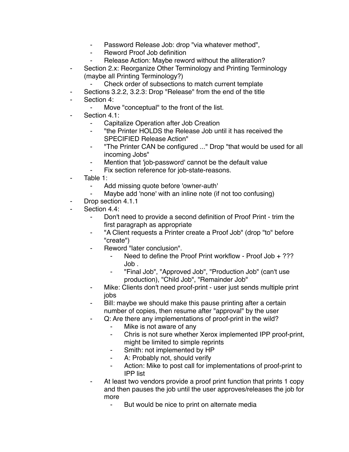- ⁃ Password Release Job: drop "via whatever method",
- Reword Proof Job definition
- Release Action: Maybe reword without the alliteration?
- Section 2.x: Reorganize Other Terminology and Printing Terminology (maybe all Printing Terminology?)
	- Check order of subsections to match current template
- Sections 3.2.2, 3.2.3: Drop "Release" from the end of the title
- Section 4:
	- Move "conceptual" to the front of the list.
- Section 4.1:
	- Capitalize Operation after Job Creation
	- ⁃ "the Printer HOLDS the Release Job until it has received the SPECIFIED Release Action"
	- ⁃ "The Printer CAN be configured ..." Drop "that would be used for all incoming Jobs"
	- Mention that 'job-password' cannot be the default value
	- ⁃ Fix section reference for job-state-reasons.
- ⁃ Table 1:
	- Add missing quote before 'owner-auth'
	- Maybe add 'none' with an inline note (if not too confusing)
- Drop section 4.1.1
- Section 4.4:
	- Don't need to provide a second definition of Proof Print trim the first paragraph as appropriate
	- "A Client requests a Printer create a Proof Job" (drop "to" before "create")
	- Reword "later conclusion".
		- Need to define the Proof Print workflow Proof Job  $+$  ??? Job .
		- ⁃ "Final Job", "Approved Job", "Production Job" (can't use production), "Child Job", "Remainder Job"
	- ⁃ Mike: Clients don't need proof-print user just sends multiple print jobs
	- Bill: maybe we should make this pause printing after a certain number of copies, then resume after "approval" by the user
		- Q: Are there any implementations of proof-print in the wild?
			- ⁃ Mike is not aware of any
			- ⁃ Chris is not sure whether Xerox implemented IPP proof-print, might be limited to simple reprints
			- ⁃ Smith: not implemented by HP
			- A: Probably not, should verify
			- ⁃ Action: Mike to post call for implementations of proof-print to IPP list
	- At least two vendors provide a proof print function that prints 1 copy and then pauses the job until the user approves/releases the job for more
		- ⁃ But would be nice to print on alternate media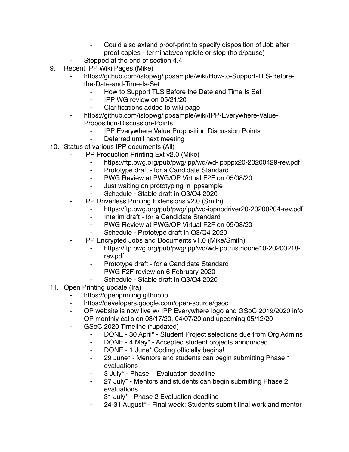- Could also extend proof-print to specify disposition of Job after proof copies - terminate/complete or stop (hold/pause)
- Stopped at the end of section 4.4
- 9. Recent IPP Wiki Pages (Mike)
	- https://github.com/istopwg/ippsample/wiki/How-to-Support-TLS-Beforethe-Date-and-Time-Is-Set
		- How to Support TLS Before the Date and Time Is Set
		- ⁃ IPP WG review on 05/21/20
		- Clarifications added to wiki page
	- https://github.com/istopwg/ippsample/wiki/IPP-Everywhere-Value-Proposition-Discussion-Points
		- **IPP Everywhere Value Proposition Discussion Points**
		- Deferred until next meeting
- 10. Status of various IPP documents (All)
	- **IPP Production Printing Ext v2.0 (Mike)** 
		- https://ftp.pwg.org/pub/pwg/ipp/wd/wd-ippppx20-20200429-rev.pdf
		- ⁃ Prototype draft for a Candidate Standard
		- ⁃ PWG Review at PWG/OP Virtual F2F on 05/08/20
		- ⁃ Just waiting on prototyping in ippsample
		- Schedule Stable draft in Q3/Q4 2020
	- **IPP Driverless Printing Extensions v2.0 (Smith)** 
		- ⁃ https://ftp.pwg.org/pub/pwg/ipp/wd-ippnodriver20-20200204-rev.pdf
		- Interim draft for a Candidate Standard
		- ⁃ PWG Review at PWG/OP Virtual F2F on 05/08/20
		- Schedule Prototype draft in Q3/Q4 2020
	- ⁃ IPP Encrypted Jobs and Documents v1.0 (Mike/Smith)
		- ⁃ https://ftp.pwg.org/pub/pwg/ipp/wd/wd-ipptrustnoone10-20200218 rev.pdf
		- Prototype draft for a Candidate Standard
		- ⁃ PWG F2F review on 6 February 2020
		- Schedule Stable draft in Q3/Q4 2020
- 11. Open Printing update (Ira)
	- https://openprinting.github.io
	- ⁃ https://developers.google.com/open-source/gsoc
	- ⁃ OP website is now live w/ IPP Everywhere logo and GSoC 2019/2020 info
	- OP monthly calls on 03/17/20, 04/07/20 and upcoming 05/12/20
	- ⁃ GSoC 2020 Timeline (\*updated)
		- ⁃ DONE 30 April\* Student Project selections due from Org Admins
		- ⁃ DONE 4 May\* Accepted student projects announced
		- ⁃ DONE 1 June\* Coding officially begins!
		- ⁃ 29 June\* Mentors and students can begin submitting Phase 1 evaluations
		- ⁃ 3 July\* Phase 1 Evaluation deadline
		- 27 July\* Mentors and students can begin submitting Phase 2 evaluations
		- 31 July\* Phase 2 Evaluation deadline
		- 24-31 August\* Final week: Students submit final work and mentor